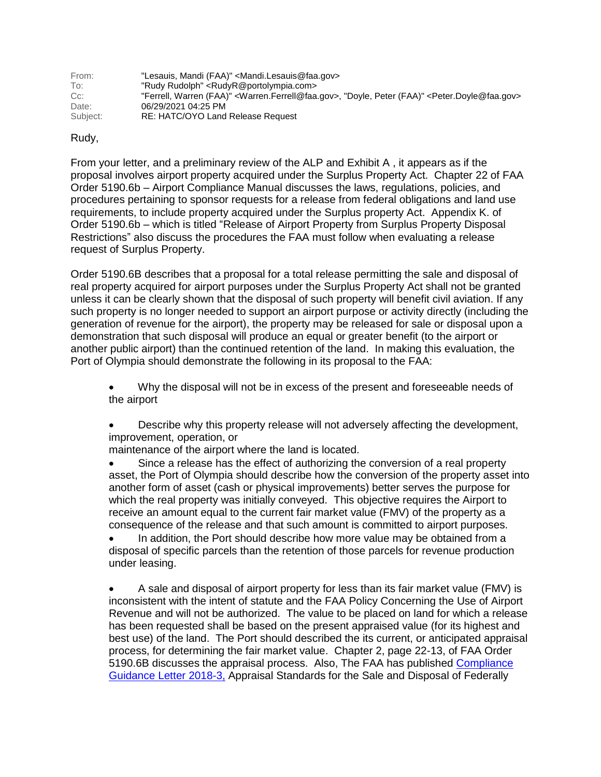| From:    | "Lesauis, Mandi (FAA)" <mandi.lesauis@faa.gov></mandi.lesauis@faa.gov>                                                                      |
|----------|---------------------------------------------------------------------------------------------------------------------------------------------|
| To:      | "Rudy Rudolph" <rudyr@portolympia.com></rudyr@portolympia.com>                                                                              |
| $Cc$ :   | "Ferrell, Warren (FAA)" <warren.ferrell@faa.gov>, "Doyle, Peter (FAA)" <peter.doyle@faa.gov></peter.doyle@faa.gov></warren.ferrell@faa.gov> |
| Date:    | 06/29/2021 04:25 PM                                                                                                                         |
| Subject: | RE: HATC/OYO Land Release Request                                                                                                           |

## Rudy,

From your letter, and a preliminary review of the ALP and Exhibit A , it appears as if the proposal involves airport property acquired under the Surplus Property Act. Chapter 22 of FAA Order 5190.6b – Airport Compliance Manual discusses the laws, regulations, policies, and procedures pertaining to sponsor requests for a release from federal obligations and land use requirements, to include property acquired under the Surplus property Act. Appendix K. of Order 5190.6b – which is titled "Release of Airport Property from Surplus Property Disposal Restrictions" also discuss the procedures the FAA must follow when evaluating a release request of Surplus Property.

Order 5190.6B describes that a proposal for a total release permitting the sale and disposal of real property acquired for airport purposes under the Surplus Property Act shall not be granted unless it can be clearly shown that the disposal of such property will benefit civil aviation. If any such property is no longer needed to support an airport purpose or activity directly (including the generation of revenue for the airport), the property may be released for sale or disposal upon a demonstration that such disposal will produce an equal or greater benefit (to the airport or another public airport) than the continued retention of the land. In making this evaluation, the Port of Olympia should demonstrate the following in its proposal to the FAA:

 Why the disposal will not be in excess of the present and foreseeable needs of the airport

 Describe why this property release will not adversely affecting the development, improvement, operation, or

maintenance of the airport where the land is located.

 Since a release has the effect of authorizing the conversion of a real property asset, the Port of Olympia should describe how the conversion of the property asset into another form of asset (cash or physical improvements) better serves the purpose for which the real property was initially conveyed. This objective requires the Airport to receive an amount equal to the current fair market value (FMV) of the property as a consequence of the release and that such amount is committed to airport purposes.

 In addition, the Port should describe how more value may be obtained from a disposal of specific parcels than the retention of those parcels for revenue production under leasing.

 A sale and disposal of airport property for less than its fair market value (FMV) is inconsistent with the intent of statute and the FAA Policy Concerning the Use of Airport Revenue and will not be authorized. The value to be placed on land for which a release has been requested shall be based on the present appraised value (for its highest and best use) of the land. The Port should described the its current, or anticipated appraisal process, for determining the fair market value. Chapter 2, page 22-13, of FAA Order 5190.6B discusses the appraisal process. Also, The FAA has published [Compliance](https://www.faa.gov/airports/airport_compliance/media/CGL-2018-3-Appraisal-Standards.pdf)  [Guidance Letter 2018-3,](https://www.faa.gov/airports/airport_compliance/media/CGL-2018-3-Appraisal-Standards.pdf) Appraisal Standards for the Sale and Disposal of Federally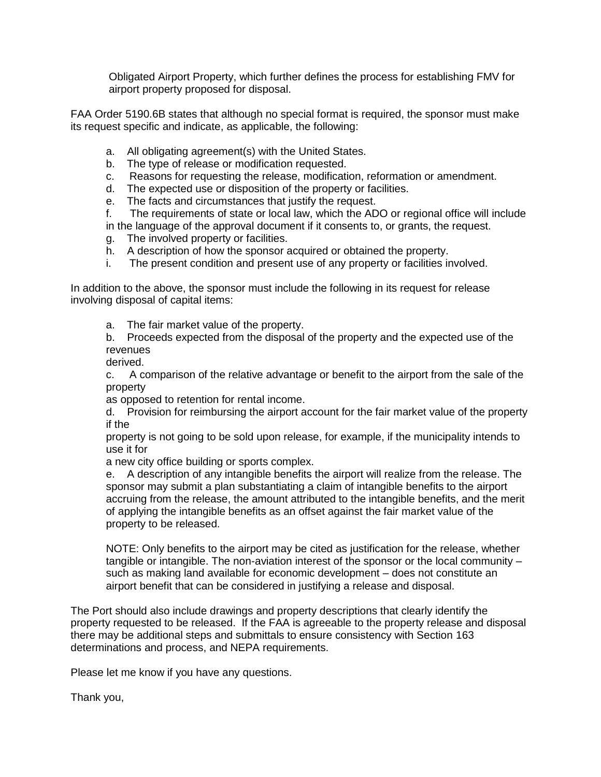Obligated Airport Property, which further defines the process for establishing FMV for airport property proposed for disposal.

FAA Order 5190.6B states that although no special format is required, the sponsor must make its request specific and indicate, as applicable, the following:

- a. All obligating agreement(s) with the United States.
- b. The type of release or modification requested.
- c. Reasons for requesting the release, modification, reformation or amendment.
- d. The expected use or disposition of the property or facilities.
- e. The facts and circumstances that justify the request.
- f. The requirements of state or local law, which the ADO or regional office will include in the language of the approval document if it consents to, or grants, the request.
- g. The involved property or facilities.
- h. A description of how the sponsor acquired or obtained the property.
- i. The present condition and present use of any property or facilities involved.

In addition to the above, the sponsor must include the following in its request for release involving disposal of capital items:

a. The fair market value of the property.

b. Proceeds expected from the disposal of the property and the expected use of the revenues

derived.

c. A comparison of the relative advantage or benefit to the airport from the sale of the property

as opposed to retention for rental income.

d. Provision for reimbursing the airport account for the fair market value of the property if the

property is not going to be sold upon release, for example, if the municipality intends to use it for

a new city office building or sports complex.

e. A description of any intangible benefits the airport will realize from the release. The sponsor may submit a plan substantiating a claim of intangible benefits to the airport accruing from the release, the amount attributed to the intangible benefits, and the merit of applying the intangible benefits as an offset against the fair market value of the property to be released.

NOTE: Only benefits to the airport may be cited as justification for the release, whether tangible or intangible. The non-aviation interest of the sponsor or the local community – such as making land available for economic development – does not constitute an airport benefit that can be considered in justifying a release and disposal.

The Port should also include drawings and property descriptions that clearly identify the property requested to be released. If the FAA is agreeable to the property release and disposal there may be additional steps and submittals to ensure consistency with Section 163 determinations and process, and NEPA requirements.

Please let me know if you have any questions.

Thank you,